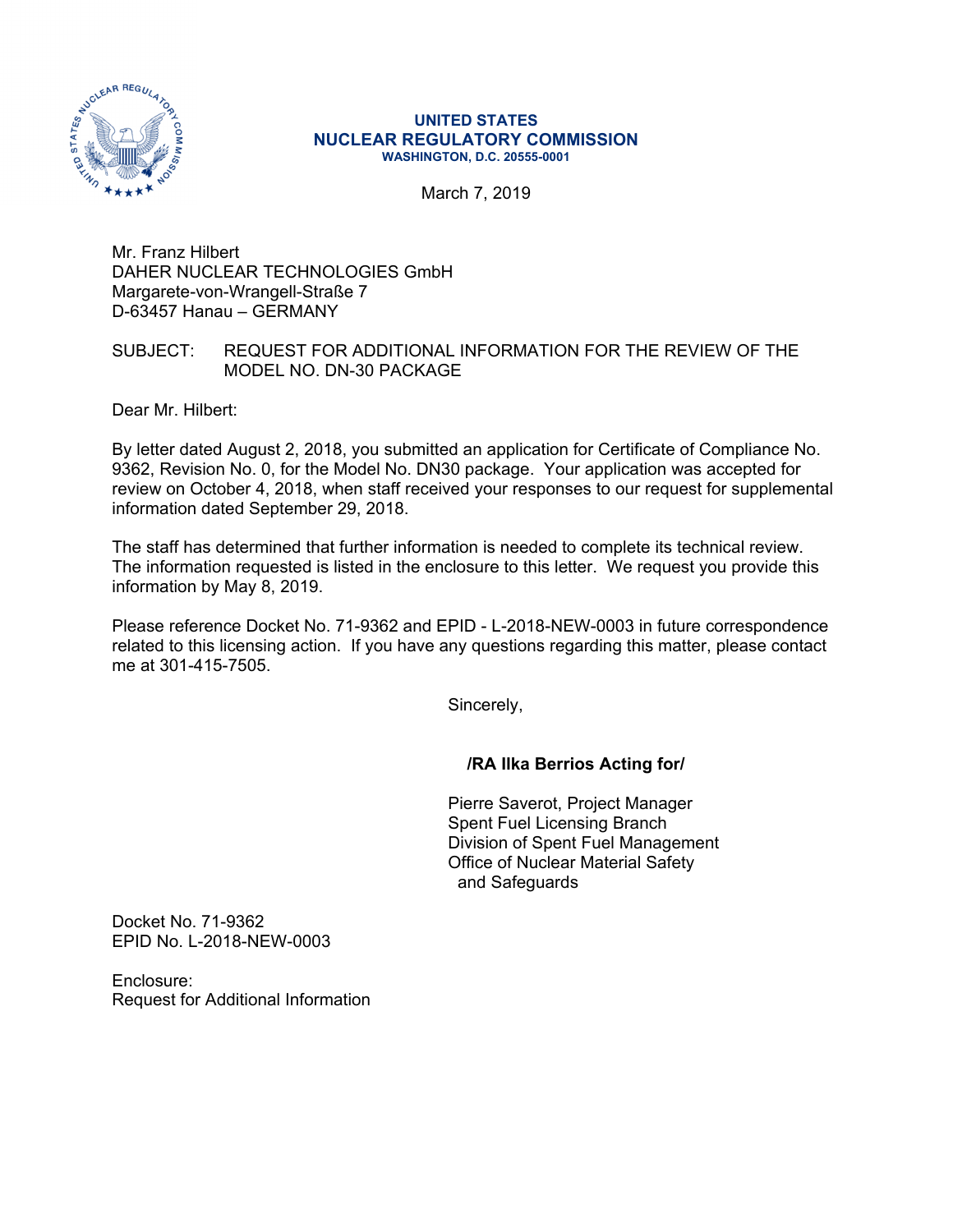

#### **UNITED STATES NUCLEAR REGULATORY COMMISSION WASHINGTON, D.C. 20555-0001**

March 7, 2019

Mr. Franz Hilbert DAHER NUCLEAR TECHNOLOGIES GmbH Margarete-von-Wrangell-Straße 7 D-63457 Hanau – GERMANY

## SUBJECT: REQUEST FOR ADDITIONAL INFORMATION FOR THE REVIEW OF THE MODEL NO. DN-30 PACKAGE

Dear Mr. Hilbert:

By letter dated August 2, 2018, you submitted an application for Certificate of Compliance No. 9362, Revision No. 0, for the Model No. DN30 package. Your application was accepted for review on October 4, 2018, when staff received your responses to our request for supplemental information dated September 29, 2018.

The staff has determined that further information is needed to complete its technical review. The information requested is listed in the enclosure to this letter. We request you provide this information by May 8, 2019.

Please reference Docket No. 71-9362 and EPID - L-2018-NEW-0003 in future correspondence related to this licensing action. If you have any questions regarding this matter, please contact me at 301-415-7505.

Sincerely,

## **/RA Ilka Berrios Acting for/**

Pierre Saverot, Project Manager Spent Fuel Licensing Branch Division of Spent Fuel Management Office of Nuclear Material Safety and Safeguards

Docket No. 71-9362 EPID No. L-2018-NEW-0003

Enclosure: Request for Additional Information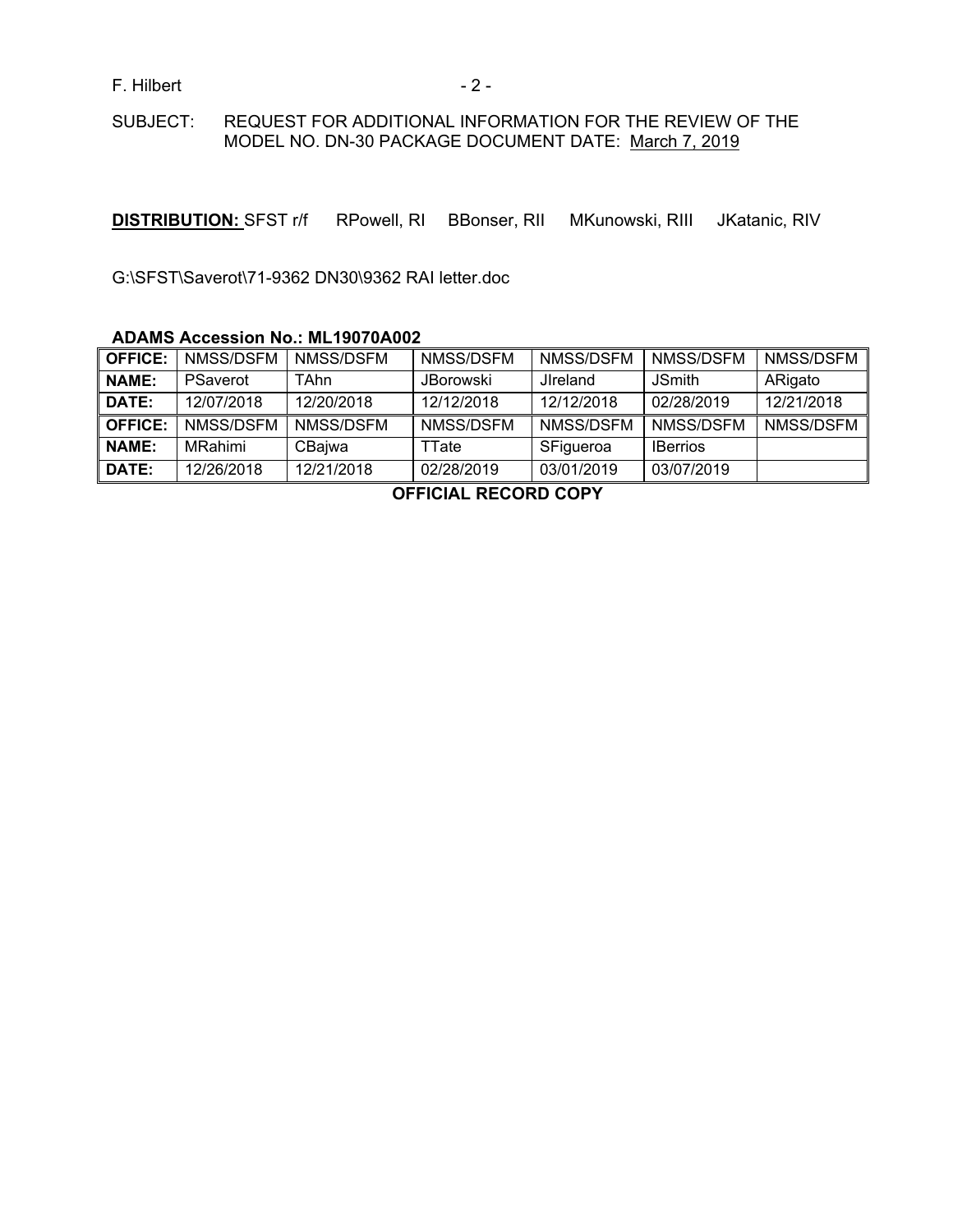F. Hilbert - 2 -

### SUBJECT: REQUEST FOR ADDITIONAL INFORMATION FOR THE REVIEW OF THE MODEL NO. DN-30 PACKAGE DOCUMENT DATE: March 7, 2019

**DISTRIBUTION:** SFST r/f RPowell, RI BBonser, RII MKunowski, RIII JKatanic, RIV

G:\SFST\Saverot\71-9362 DN30\9362 RAI letter.doc

### **ADAMS Accession No.: ML19070A002**

| <b>OFFICE:</b> | NMSS/DSFM       | NMSS/DSFM  | NMSS/DSFM        | NMSS/DSFM        | NMSS/DSFM       | NMSS/DSFM  |
|----------------|-----------------|------------|------------------|------------------|-----------------|------------|
| <b>NAME:</b>   | <b>PSaverot</b> | TAhn       | <b>JBorowski</b> | <b>J</b> Ireland | <b>JSmith</b>   | ARigato    |
| DATE:          | 12/07/2018      | 12/20/2018 | 12/12/2018       | 12/12/2018       | 02/28/2019      | 12/21/2018 |
| <b>OFFICE:</b> | NMSS/DSFM       | NMSS/DSFM  | NMSS/DSFM        | NMSS/DSFM        | NMSS/DSFM       | NMSS/DSFM  |
| <b>NAME:</b>   | <b>MRahimi</b>  | CBajwa     | TTate            | SFigueroa        | <b>IBerrios</b> |            |
| DATE:          | 12/26/2018      | 12/21/2018 | 02/28/2019       | 03/01/2019       | 03/07/2019      |            |

**OFFICIAL RECORD COPY**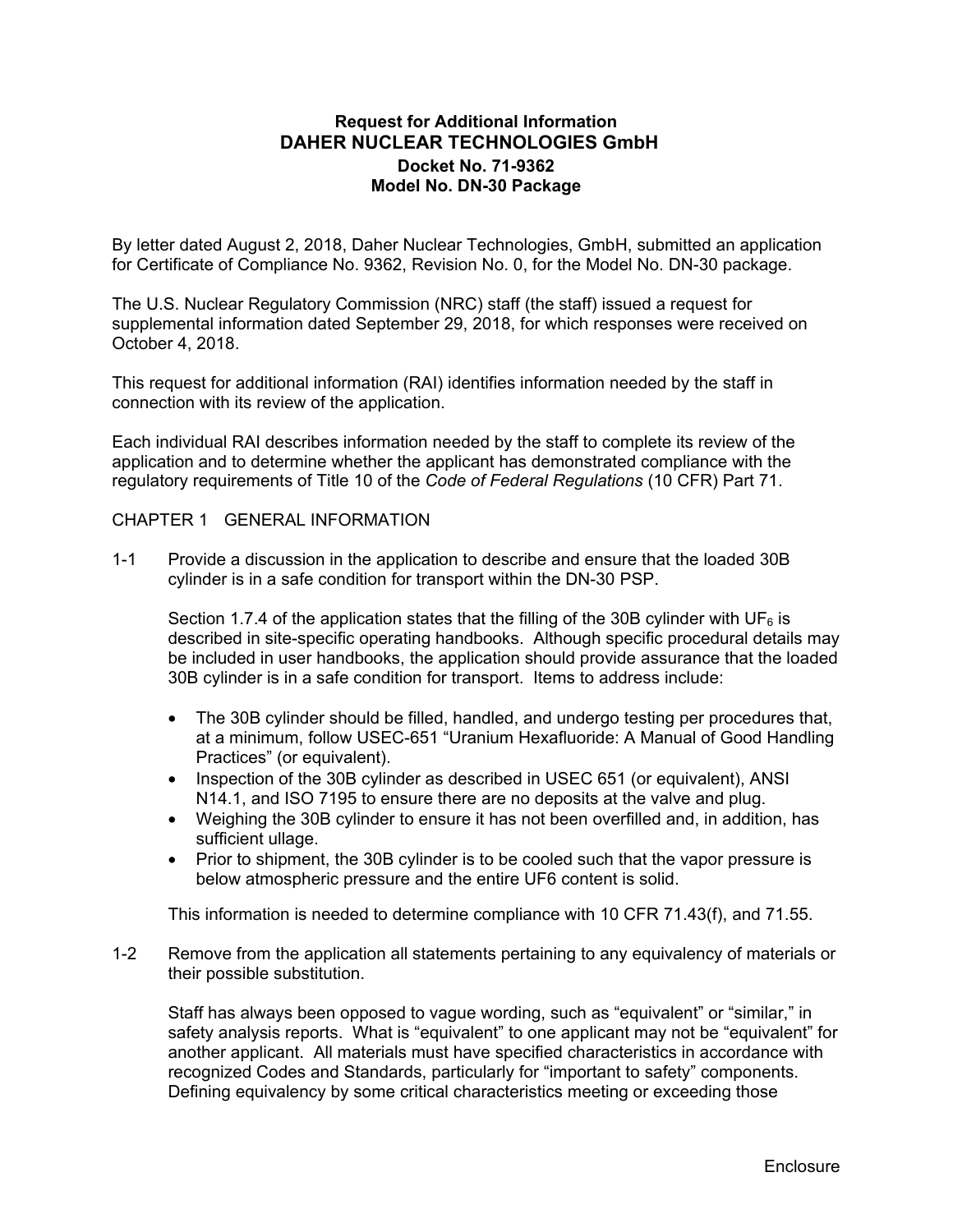# **Request for Additional Information DAHER NUCLEAR TECHNOLOGIES GmbH Docket No. 71-9362 Model No. DN-30 Package**

By letter dated August 2, 2018, Daher Nuclear Technologies, GmbH, submitted an application for Certificate of Compliance No. 9362, Revision No. 0, for the Model No. DN-30 package.

The U.S. Nuclear Regulatory Commission (NRC) staff (the staff) issued a request for supplemental information dated September 29, 2018, for which responses were received on October 4, 2018.

This request for additional information (RAI) identifies information needed by the staff in connection with its review of the application.

Each individual RAI describes information needed by the staff to complete its review of the application and to determine whether the applicant has demonstrated compliance with the regulatory requirements of Title 10 of the *Code of Federal Regulations* (10 CFR) Part 71.

### CHAPTER 1 GENERAL INFORMATION

1-1 Provide a discussion in the application to describe and ensure that the loaded 30B cylinder is in a safe condition for transport within the DN-30 PSP.

Section 1.7.4 of the application states that the filling of the 30B cylinder with UF<sub>6</sub> is described in site-specific operating handbooks. Although specific procedural details may be included in user handbooks, the application should provide assurance that the loaded 30B cylinder is in a safe condition for transport. Items to address include:

- The 30B cylinder should be filled, handled, and undergo testing per procedures that, at a minimum, follow USEC-651 "Uranium Hexafluoride: A Manual of Good Handling Practices" (or equivalent).
- Inspection of the 30B cylinder as described in USEC 651 (or equivalent), ANSI N14.1, and ISO 7195 to ensure there are no deposits at the valve and plug.
- Weighing the 30B cylinder to ensure it has not been overfilled and, in addition, has sufficient ullage.
- Prior to shipment, the 30B cylinder is to be cooled such that the vapor pressure is below atmospheric pressure and the entire UF6 content is solid.

This information is needed to determine compliance with 10 CFR 71.43(f), and 71.55.

1-2 Remove from the application all statements pertaining to any equivalency of materials or their possible substitution.

Staff has always been opposed to vague wording, such as "equivalent" or "similar," in safety analysis reports. What is "equivalent" to one applicant may not be "equivalent" for another applicant. All materials must have specified characteristics in accordance with recognized Codes and Standards, particularly for "important to safety" components. Defining equivalency by some critical characteristics meeting or exceeding those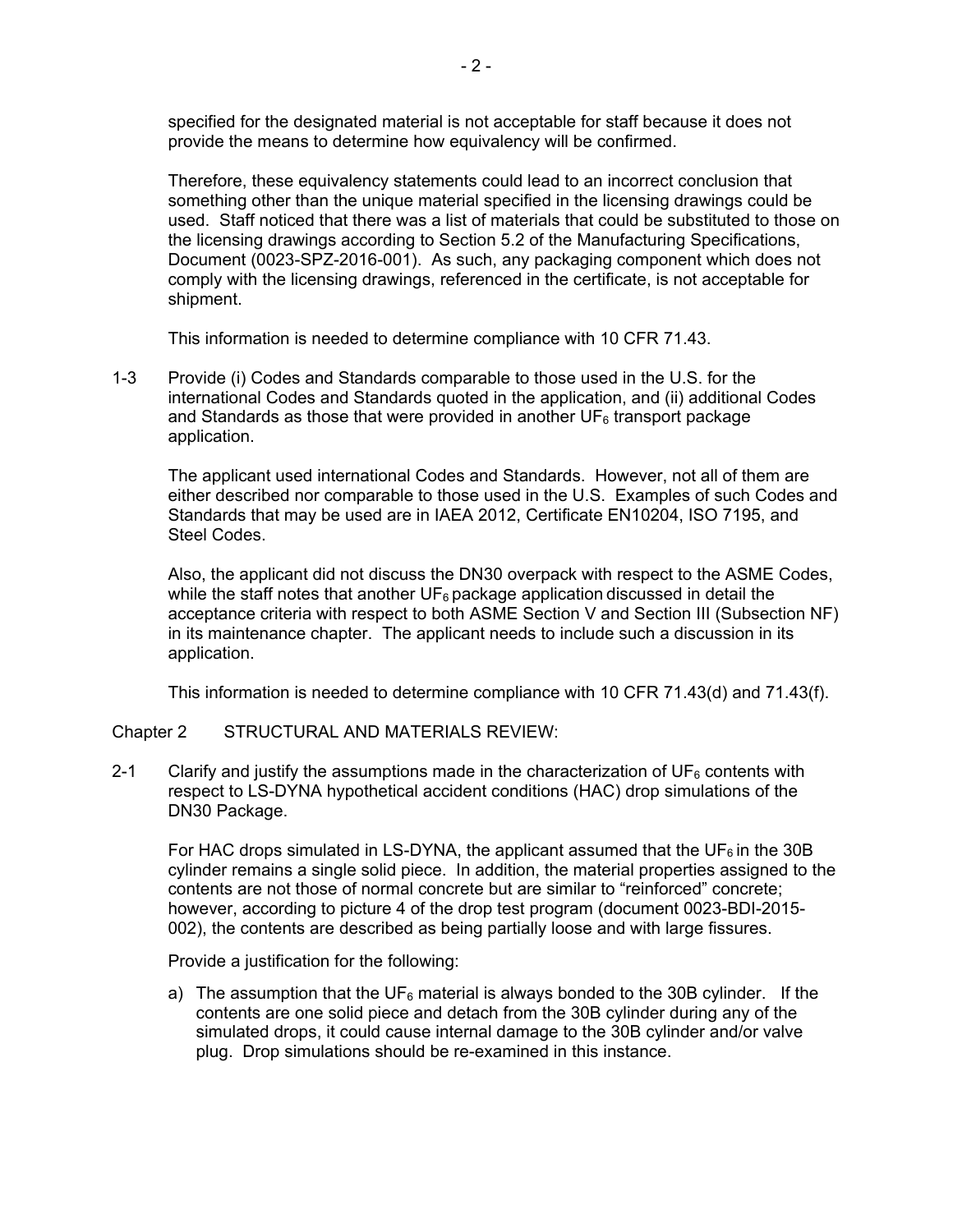specified for the designated material is not acceptable for staff because it does not provide the means to determine how equivalency will be confirmed.

 Therefore, these equivalency statements could lead to an incorrect conclusion that something other than the unique material specified in the licensing drawings could be used. Staff noticed that there was a list of materials that could be substituted to those on the licensing drawings according to Section 5.2 of the Manufacturing Specifications, Document (0023-SPZ-2016-001). As such, any packaging component which does not comply with the licensing drawings, referenced in the certificate, is not acceptable for shipment.

This information is needed to determine compliance with 10 CFR 71.43.

1-3 Provide (i) Codes and Standards comparable to those used in the U.S. for the international Codes and Standards quoted in the application, and (ii) additional Codes and Standards as those that were provided in another  $UF<sub>6</sub>$  transport package application.

The applicant used international Codes and Standards. However, not all of them are either described nor comparable to those used in the U.S. Examples of such Codes and Standards that may be used are in IAEA 2012, Certificate EN10204, ISO 7195, and Steel Codes.

Also, the applicant did not discuss the DN30 overpack with respect to the ASME Codes, while the staff notes that another  $UF<sub>6</sub>$  package application discussed in detail the acceptance criteria with respect to both ASME Section V and Section III (Subsection NF) in its maintenance chapter. The applicant needs to include such a discussion in its application.

This information is needed to determine compliance with 10 CFR 71.43(d) and 71.43(f).

### Chapter 2 STRUCTURAL AND MATERIALS REVIEW:

2-1 Clarify and justify the assumptions made in the characterization of  $UF<sub>6</sub>$  contents with respect to LS-DYNA hypothetical accident conditions (HAC) drop simulations of the DN30 Package.

For HAC drops simulated in LS-DYNA, the applicant assumed that the UF $<sub>6</sub>$  in the 30B</sub> cylinder remains a single solid piece. In addition, the material properties assigned to the contents are not those of normal concrete but are similar to "reinforced" concrete; however, according to picture 4 of the drop test program (document 0023-BDI-2015- 002), the contents are described as being partially loose and with large fissures.

Provide a justification for the following:

a) The assumption that the UF<sub>6</sub> material is always bonded to the 30B cylinder. If the contents are one solid piece and detach from the 30B cylinder during any of the simulated drops, it could cause internal damage to the 30B cylinder and/or valve plug. Drop simulations should be re-examined in this instance.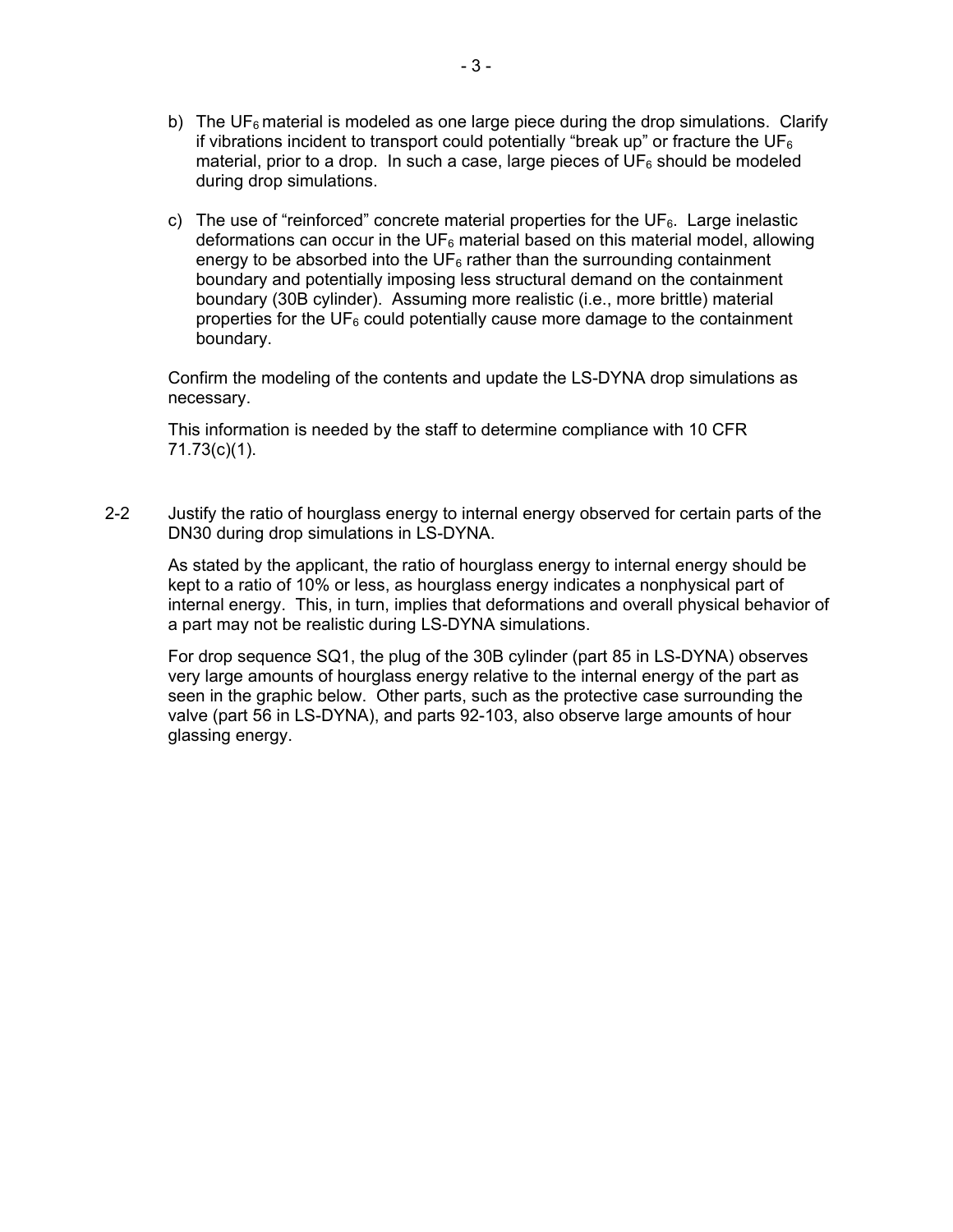- b) The UF<sub>6</sub> material is modeled as one large piece during the drop simulations. Clarify if vibrations incident to transport could potentially "break up" or fracture the UF $_6$ material, prior to a drop. In such a case, large pieces of  $UF<sub>6</sub>$  should be modeled during drop simulations.
- c) The use of "reinforced" concrete material properties for the  $UF_6$ . Large inelastic deformations can occur in the  $UF<sub>6</sub>$  material based on this material model, allowing energy to be absorbed into the  $UF<sub>6</sub>$  rather than the surrounding containment boundary and potentially imposing less structural demand on the containment boundary (30B cylinder). Assuming more realistic (i.e., more brittle) material properties for the  $UF<sub>6</sub>$  could potentially cause more damage to the containment boundary.

Confirm the modeling of the contents and update the LS-DYNA drop simulations as necessary.

This information is needed by the staff to determine compliance with 10 CFR 71.73(c)(1).

2-2 Justify the ratio of hourglass energy to internal energy observed for certain parts of the DN30 during drop simulations in LS-DYNA.

As stated by the applicant, the ratio of hourglass energy to internal energy should be kept to a ratio of 10% or less, as hourglass energy indicates a nonphysical part of internal energy. This, in turn, implies that deformations and overall physical behavior of a part may not be realistic during LS-DYNA simulations.

For drop sequence SQ1, the plug of the 30B cylinder (part 85 in LS-DYNA) observes very large amounts of hourglass energy relative to the internal energy of the part as seen in the graphic below. Other parts, such as the protective case surrounding the valve (part 56 in LS-DYNA), and parts 92-103, also observe large amounts of hour glassing energy.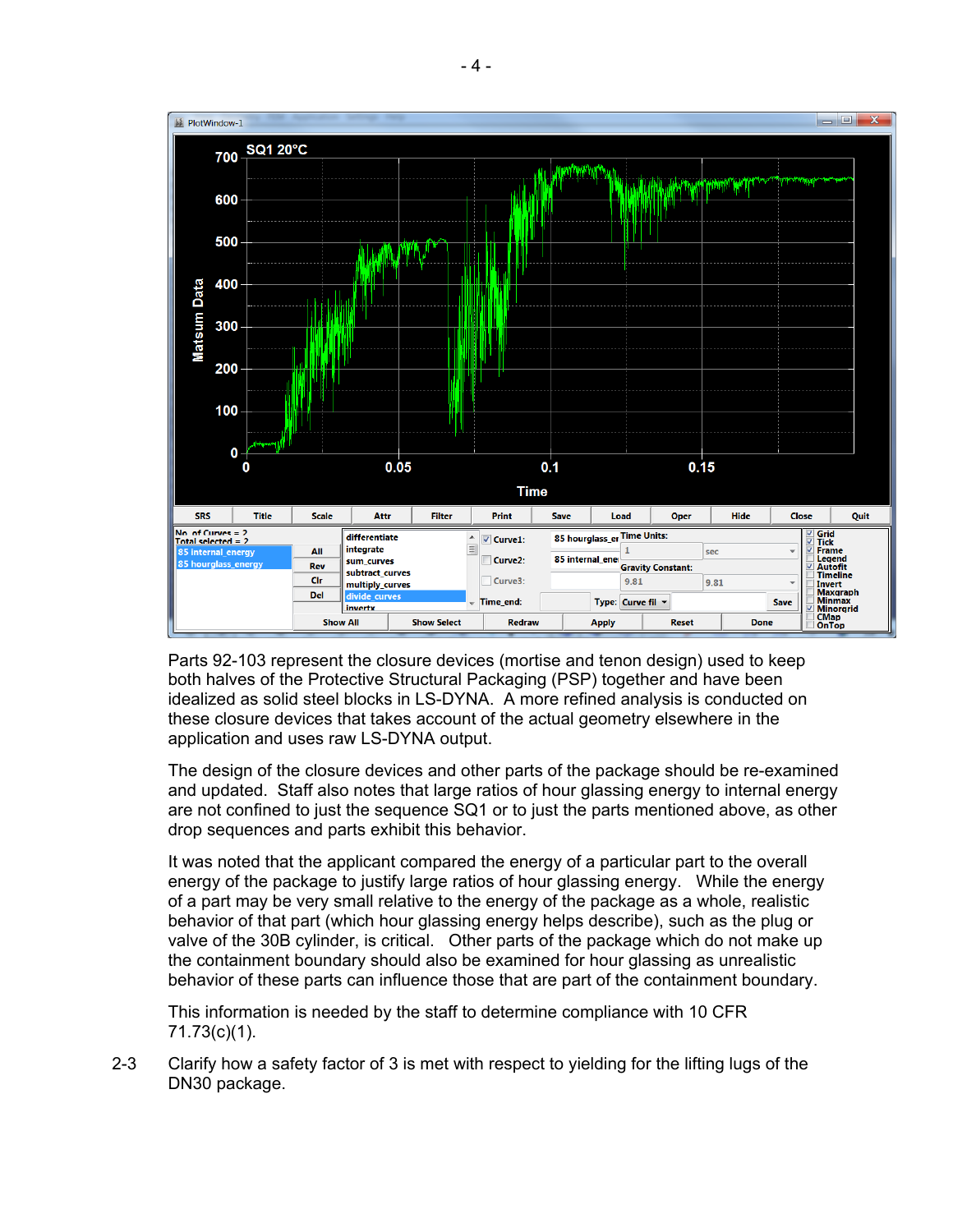

Parts 92-103 represent the closure devices (mortise and tenon design) used to keep both halves of the Protective Structural Packaging (PSP) together and have been idealized as solid steel blocks in LS-DYNA. A more refined analysis is conducted on these closure devices that takes account of the actual geometry elsewhere in the application and uses raw LS-DYNA output.

The design of the closure devices and other parts of the package should be re-examined and updated. Staff also notes that large ratios of hour glassing energy to internal energy are not confined to just the sequence SQ1 or to just the parts mentioned above, as other drop sequences and parts exhibit this behavior.

It was noted that the applicant compared the energy of a particular part to the overall energy of the package to justify large ratios of hour glassing energy. While the energy of a part may be very small relative to the energy of the package as a whole, realistic behavior of that part (which hour glassing energy helps describe), such as the plug or valve of the 30B cylinder, is critical. Other parts of the package which do not make up the containment boundary should also be examined for hour glassing as unrealistic behavior of these parts can influence those that are part of the containment boundary.

This information is needed by the staff to determine compliance with 10 CFR 71.73(c)(1).

2-3 Clarify how a safety factor of 3 is met with respect to yielding for the lifting lugs of the DN30 package.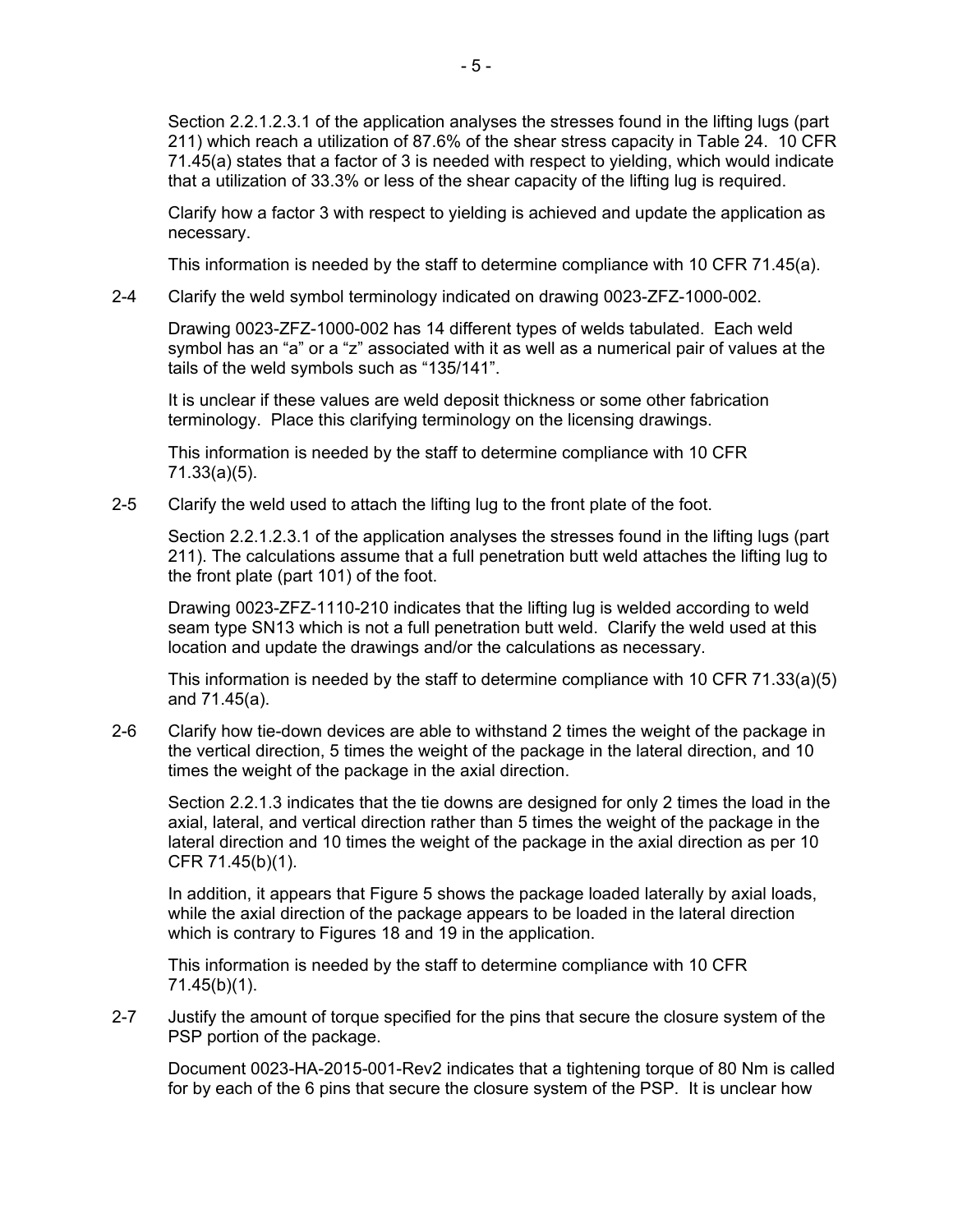Section 2.2.1.2.3.1 of the application analyses the stresses found in the lifting lugs (part 211) which reach a utilization of 87.6% of the shear stress capacity in Table 24. 10 CFR 71.45(a) states that a factor of 3 is needed with respect to yielding, which would indicate that a utilization of 33.3% or less of the shear capacity of the lifting lug is required.

Clarify how a factor 3 with respect to yielding is achieved and update the application as necessary.

This information is needed by the staff to determine compliance with 10 CFR 71.45(a).

2-4 Clarify the weld symbol terminology indicated on drawing 0023-ZFZ-1000-002.

Drawing 0023-ZFZ-1000-002 has 14 different types of welds tabulated. Each weld symbol has an "a" or a "z" associated with it as well as a numerical pair of values at the tails of the weld symbols such as "135/141".

It is unclear if these values are weld deposit thickness or some other fabrication terminology. Place this clarifying terminology on the licensing drawings.

This information is needed by the staff to determine compliance with 10 CFR 71.33(a)(5).

2-5 Clarify the weld used to attach the lifting lug to the front plate of the foot.

Section 2.2.1.2.3.1 of the application analyses the stresses found in the lifting lugs (part 211). The calculations assume that a full penetration butt weld attaches the lifting lug to the front plate (part 101) of the foot.

Drawing 0023-ZFZ-1110-210 indicates that the lifting lug is welded according to weld seam type SN13 which is not a full penetration butt weld. Clarify the weld used at this location and update the drawings and/or the calculations as necessary.

This information is needed by the staff to determine compliance with 10 CFR 71.33(a)(5) and 71.45(a).

2-6 Clarify how tie-down devices are able to withstand 2 times the weight of the package in the vertical direction, 5 times the weight of the package in the lateral direction, and 10 times the weight of the package in the axial direction.

Section 2.2.1.3 indicates that the tie downs are designed for only 2 times the load in the axial, lateral, and vertical direction rather than 5 times the weight of the package in the lateral direction and 10 times the weight of the package in the axial direction as per 10 CFR 71.45(b)(1).

In addition, it appears that Figure 5 shows the package loaded laterally by axial loads, while the axial direction of the package appears to be loaded in the lateral direction which is contrary to Figures 18 and 19 in the application.

This information is needed by the staff to determine compliance with 10 CFR 71.45(b)(1).

2-7 Justify the amount of torque specified for the pins that secure the closure system of the PSP portion of the package.

Document 0023-HA-2015-001-Rev2 indicates that a tightening torque of 80 Nm is called for by each of the 6 pins that secure the closure system of the PSP. It is unclear how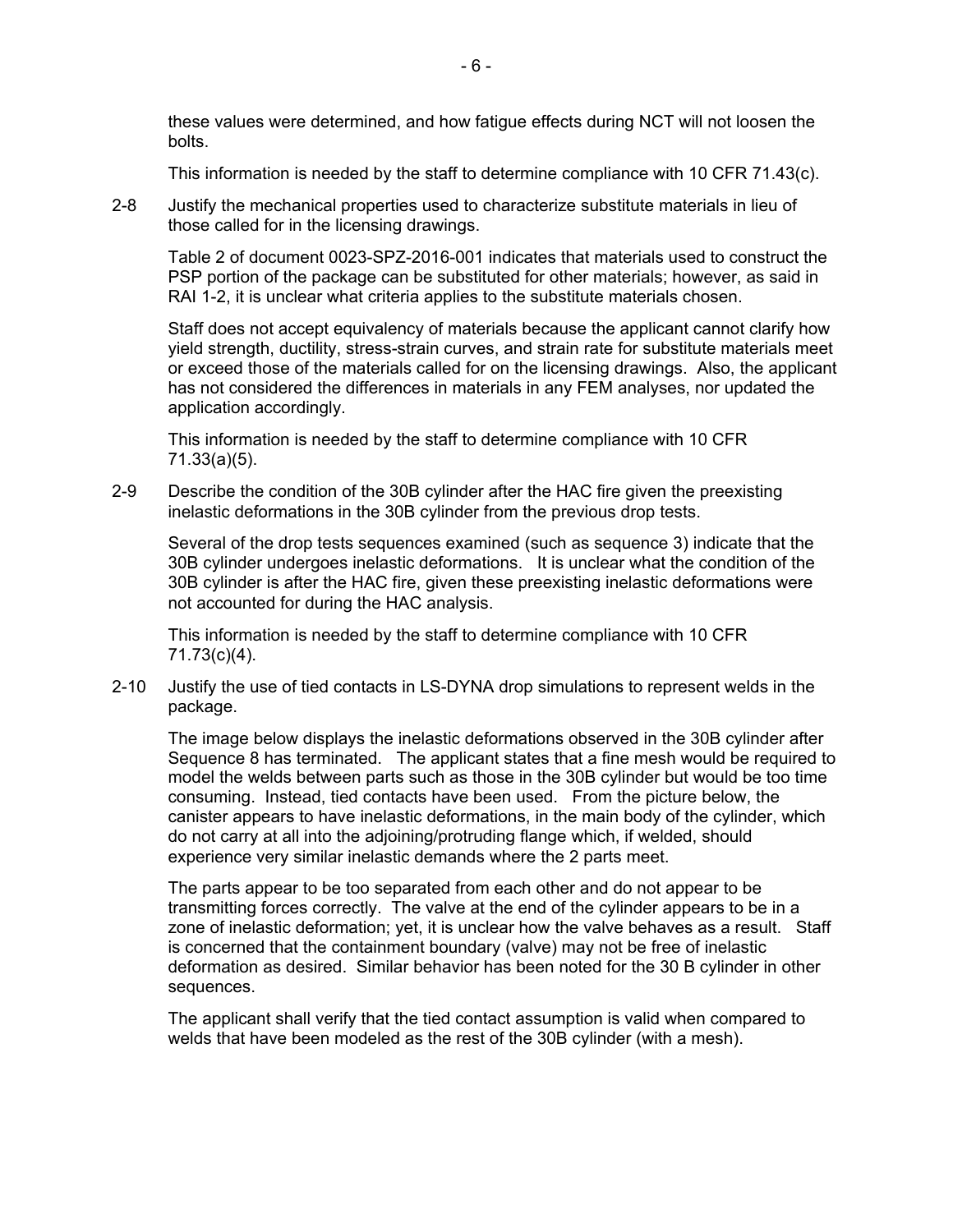these values were determined, and how fatigue effects during NCT will not loosen the bolts.

This information is needed by the staff to determine compliance with 10 CFR 71.43(c).

2-8 Justify the mechanical properties used to characterize substitute materials in lieu of those called for in the licensing drawings.

Table 2 of document 0023-SPZ-2016-001 indicates that materials used to construct the PSP portion of the package can be substituted for other materials; however, as said in RAI 1-2, it is unclear what criteria applies to the substitute materials chosen.

Staff does not accept equivalency of materials because the applicant cannot clarify how yield strength, ductility, stress-strain curves, and strain rate for substitute materials meet or exceed those of the materials called for on the licensing drawings. Also, the applicant has not considered the differences in materials in any FEM analyses, nor updated the application accordingly.

This information is needed by the staff to determine compliance with 10 CFR 71.33(a)(5).

2-9 Describe the condition of the 30B cylinder after the HAC fire given the preexisting inelastic deformations in the 30B cylinder from the previous drop tests.

Several of the drop tests sequences examined (such as sequence 3) indicate that the 30B cylinder undergoes inelastic deformations. It is unclear what the condition of the 30B cylinder is after the HAC fire, given these preexisting inelastic deformations were not accounted for during the HAC analysis.

This information is needed by the staff to determine compliance with 10 CFR 71.73(c)(4).

2-10 Justify the use of tied contacts in LS-DYNA drop simulations to represent welds in the package.

The image below displays the inelastic deformations observed in the 30B cylinder after Sequence 8 has terminated. The applicant states that a fine mesh would be required to model the welds between parts such as those in the 30B cylinder but would be too time consuming. Instead, tied contacts have been used. From the picture below, the canister appears to have inelastic deformations, in the main body of the cylinder, which do not carry at all into the adjoining/protruding flange which, if welded, should experience very similar inelastic demands where the 2 parts meet.

The parts appear to be too separated from each other and do not appear to be transmitting forces correctly. The valve at the end of the cylinder appears to be in a zone of inelastic deformation; yet, it is unclear how the valve behaves as a result. Staff is concerned that the containment boundary (valve) may not be free of inelastic deformation as desired. Similar behavior has been noted for the 30 B cylinder in other sequences.

The applicant shall verify that the tied contact assumption is valid when compared to welds that have been modeled as the rest of the 30B cylinder (with a mesh).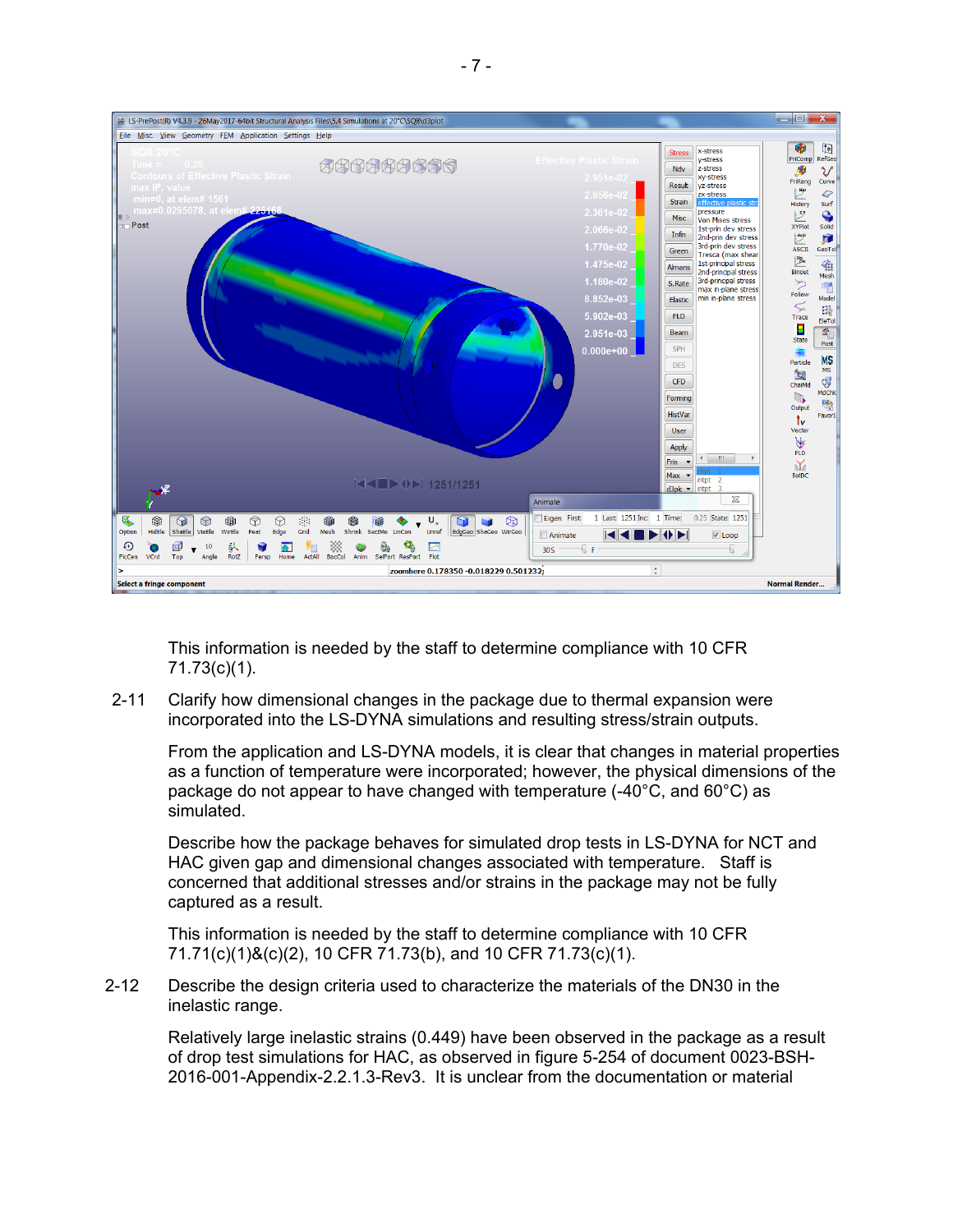

This information is needed by the staff to determine compliance with 10 CFR 71.73(c)(1).

2-11 Clarify how dimensional changes in the package due to thermal expansion were incorporated into the LS-DYNA simulations and resulting stress/strain outputs.

From the application and LS-DYNA models, it is clear that changes in material properties as a function of temperature were incorporated; however, the physical dimensions of the package do not appear to have changed with temperature  $(-40^{\circ}C,$  and  $60^{\circ}C)$  as simulated.

Describe how the package behaves for simulated drop tests in LS-DYNA for NCT and HAC given gap and dimensional changes associated with temperature. Staff is concerned that additional stresses and/or strains in the package may not be fully captured as a result.

This information is needed by the staff to determine compliance with 10 CFR 71.71(c)(1)&(c)(2), 10 CFR 71.73(b), and 10 CFR 71.73(c)(1).

2-12 Describe the design criteria used to characterize the materials of the DN30 in the inelastic range.

Relatively large inelastic strains (0.449) have been observed in the package as a result of drop test simulations for HAC, as observed in figure 5-254 of document 0023-BSH-2016-001-Appendix-2.2.1.3-Rev3. It is unclear from the documentation or material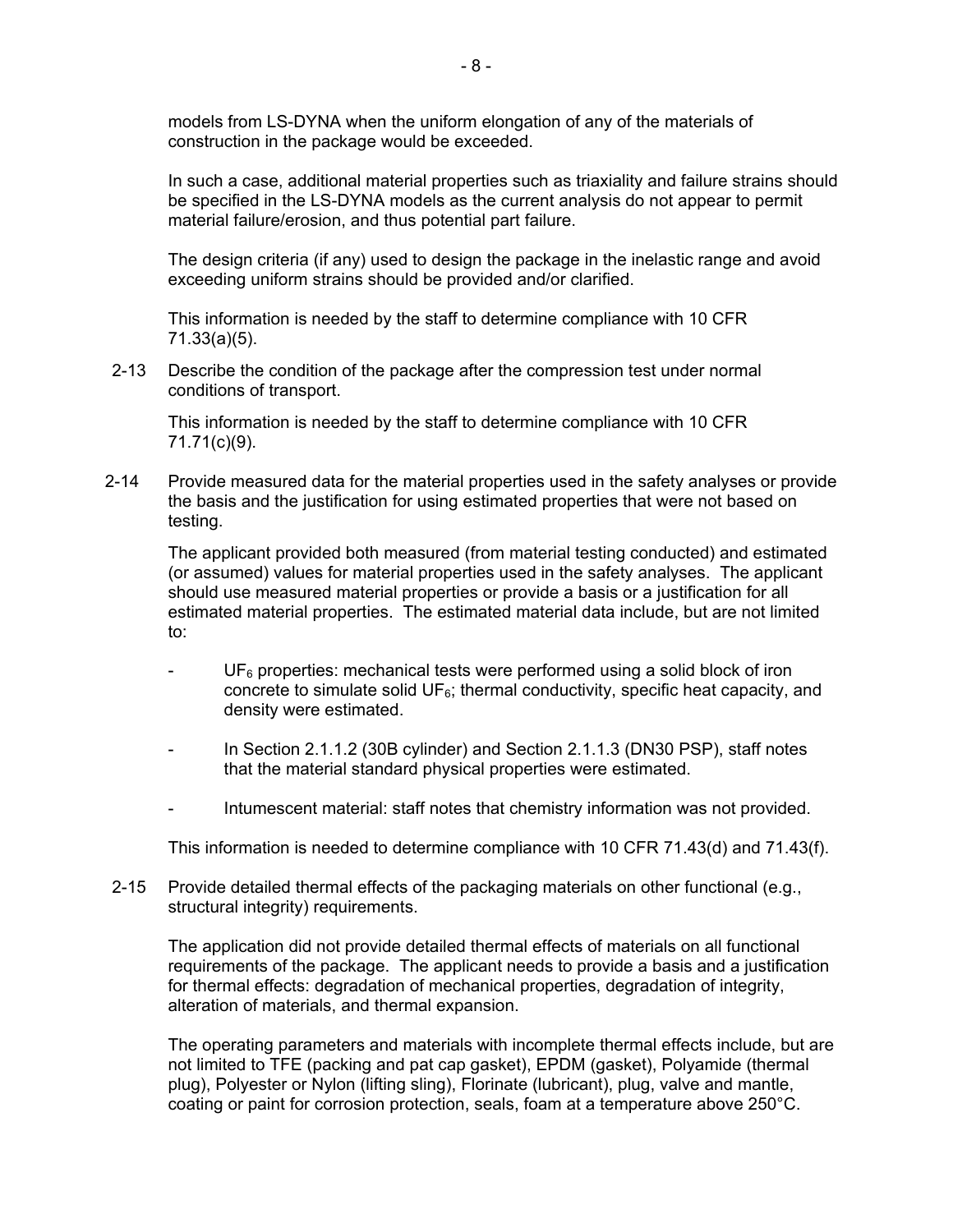models from LS-DYNA when the uniform elongation of any of the materials of construction in the package would be exceeded.

In such a case, additional material properties such as triaxiality and failure strains should be specified in the LS-DYNA models as the current analysis do not appear to permit material failure/erosion, and thus potential part failure.

The design criteria (if any) used to design the package in the inelastic range and avoid exceeding uniform strains should be provided and/or clarified.

This information is needed by the staff to determine compliance with 10 CFR 71.33(a)(5).

2-13 Describe the condition of the package after the compression test under normal conditions of transport.

This information is needed by the staff to determine compliance with 10 CFR 71.71(c)(9).

2-14 Provide measured data for the material properties used in the safety analyses or provide the basis and the justification for using estimated properties that were not based on testing.

The applicant provided both measured (from material testing conducted) and estimated (or assumed) values for material properties used in the safety analyses. The applicant should use measured material properties or provide a basis or a justification for all estimated material properties. The estimated material data include, but are not limited to:

- $UF<sub>6</sub>$  properties: mechanical tests were performed using a solid block of iron concrete to simulate solid  $UF<sub>6</sub>$ ; thermal conductivity, specific heat capacity, and density were estimated.
- In Section 2.1.1.2 (30B cylinder) and Section 2.1.1.3 (DN30 PSP), staff notes that the material standard physical properties were estimated.
- Intumescent material: staff notes that chemistry information was not provided.

This information is needed to determine compliance with 10 CFR 71.43(d) and 71.43(f).

2-15 Provide detailed thermal effects of the packaging materials on other functional (e.g., structural integrity) requirements.

The application did not provide detailed thermal effects of materials on all functional requirements of the package. The applicant needs to provide a basis and a justification for thermal effects: degradation of mechanical properties, degradation of integrity, alteration of materials, and thermal expansion.

The operating parameters and materials with incomplete thermal effects include, but are not limited to TFE (packing and pat cap gasket), EPDM (gasket), Polyamide (thermal plug), Polyester or Nylon (lifting sling), Florinate (lubricant), plug, valve and mantle, coating or paint for corrosion protection, seals, foam at a temperature above 250°C.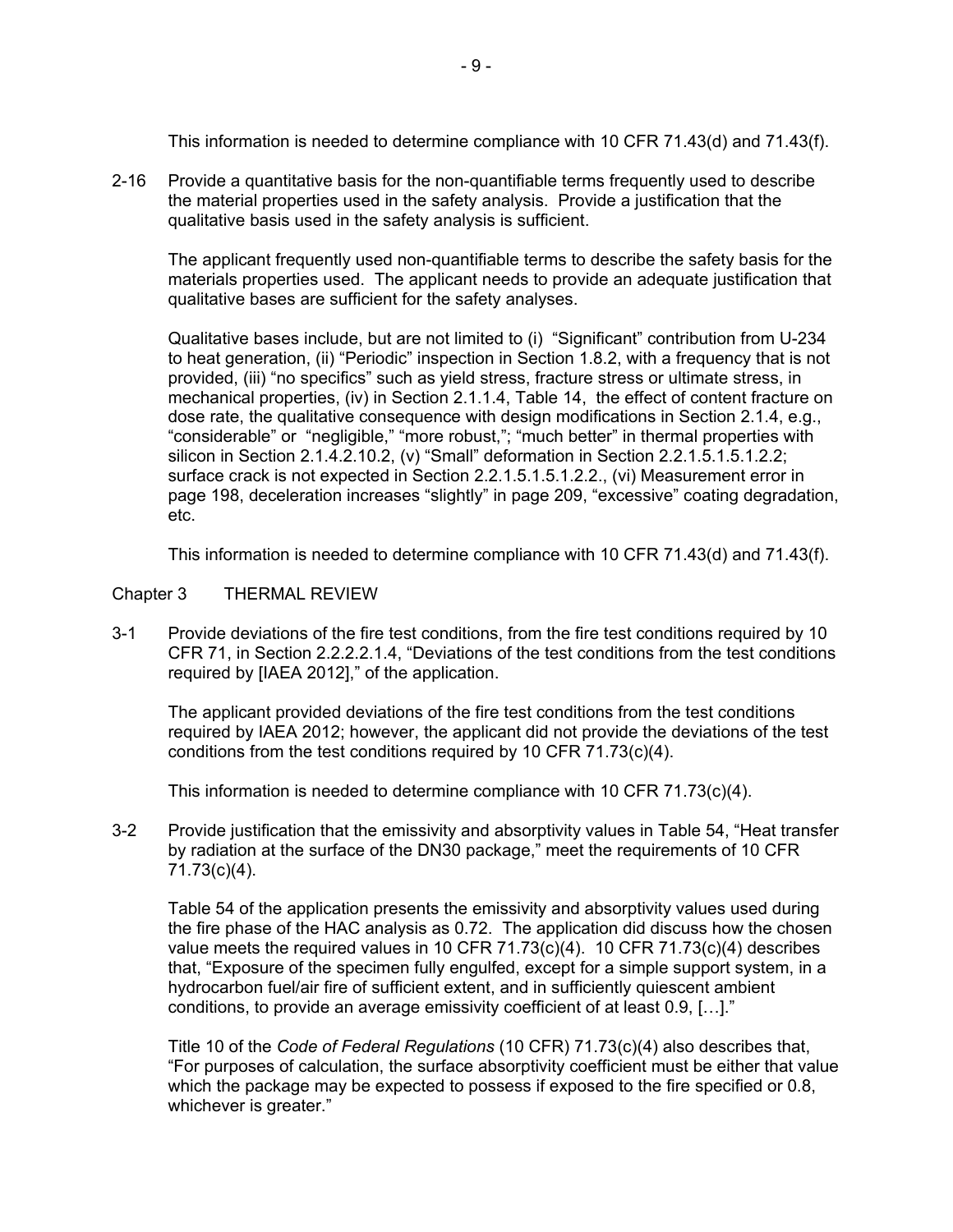This information is needed to determine compliance with 10 CFR 71.43(d) and 71.43(f).

2-16 Provide a quantitative basis for the non-quantifiable terms frequently used to describe the material properties used in the safety analysis. Provide a justification that the qualitative basis used in the safety analysis is sufficient.

The applicant frequently used non-quantifiable terms to describe the safety basis for the materials properties used. The applicant needs to provide an adequate justification that qualitative bases are sufficient for the safety analyses.

Qualitative bases include, but are not limited to (i) "Significant" contribution from U-234 to heat generation, (ii) "Periodic" inspection in Section 1.8.2, with a frequency that is not provided, (iii) "no specifics" such as yield stress, fracture stress or ultimate stress, in mechanical properties, (iv) in Section 2.1.1.4, Table 14, the effect of content fracture on dose rate, the qualitative consequence with design modifications in Section 2.1.4, e.g., "considerable" or "negligible," "more robust,"; "much better" in thermal properties with silicon in Section 2.1.4.2.10.2, (v) "Small" deformation in Section 2.2.1.5.1.5.1.2.2; surface crack is not expected in Section 2.2.1.5.1.5.1.2.2., (vi) Measurement error in page 198, deceleration increases "slightly" in page 209, "excessive" coating degradation, etc.

This information is needed to determine compliance with 10 CFR 71.43(d) and 71.43(f).

### Chapter 3 THERMAL REVIEW

3-1 Provide deviations of the fire test conditions, from the fire test conditions required by 10 CFR 71, in Section 2.2.2.2.1.4, "Deviations of the test conditions from the test conditions required by [IAEA 2012]," of the application.

The applicant provided deviations of the fire test conditions from the test conditions required by IAEA 2012; however, the applicant did not provide the deviations of the test conditions from the test conditions required by 10 CFR 71.73(c)(4).

This information is needed to determine compliance with 10 CFR 71.73(c)(4).

3-2 Provide justification that the emissivity and absorptivity values in Table 54, "Heat transfer by radiation at the surface of the DN30 package," meet the requirements of 10 CFR 71.73(c)(4).

Table 54 of the application presents the emissivity and absorptivity values used during the fire phase of the HAC analysis as 0.72. The application did discuss how the chosen value meets the required values in 10 CFR 71.73(c)(4). 10 CFR 71.73(c)(4) describes that, "Exposure of the specimen fully engulfed, except for a simple support system, in a hydrocarbon fuel/air fire of sufficient extent, and in sufficiently quiescent ambient conditions, to provide an average emissivity coefficient of at least 0.9, […]."

Title 10 of the *Code of Federal Regulations* (10 CFR) 71.73(c)(4) also describes that, "For purposes of calculation, the surface absorptivity coefficient must be either that value which the package may be expected to possess if exposed to the fire specified or 0.8, whichever is greater."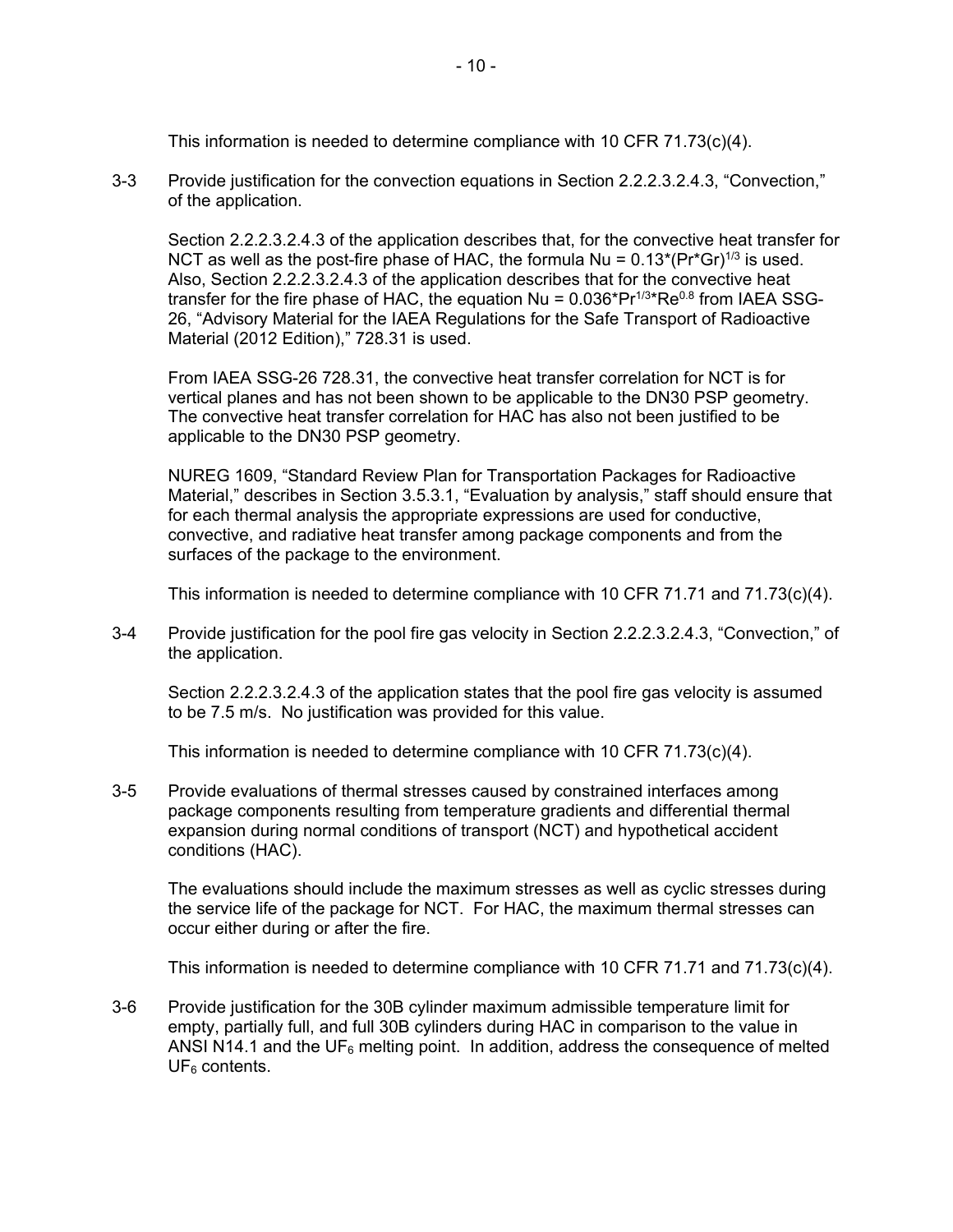This information is needed to determine compliance with 10 CFR 71.73(c)(4).

3-3 Provide justification for the convection equations in Section 2.2.2.3.2.4.3, "Convection," of the application.

Section 2.2.2.3.2.4.3 of the application describes that, for the convective heat transfer for NCT as well as the post-fire phase of HAC, the formula Nu =  $0.13^*(Pr^*Gr)^{1/3}$  is used. Also, Section 2.2.2.3.2.4.3 of the application describes that for the convective heat transfer for the fire phase of HAC, the equation  $Nu = 0.036*Pr^{1/3*}Re^{0.8}$  from IAEA SSG-26, "Advisory Material for the IAEA Regulations for the Safe Transport of Radioactive Material (2012 Edition)," 728.31 is used.

From IAEA SSG-26 728.31, the convective heat transfer correlation for NCT is for vertical planes and has not been shown to be applicable to the DN30 PSP geometry. The convective heat transfer correlation for HAC has also not been justified to be applicable to the DN30 PSP geometry.

NUREG 1609, "Standard Review Plan for Transportation Packages for Radioactive Material," describes in Section 3.5.3.1, "Evaluation by analysis," staff should ensure that for each thermal analysis the appropriate expressions are used for conductive, convective, and radiative heat transfer among package components and from the surfaces of the package to the environment.

This information is needed to determine compliance with 10 CFR 71.71 and 71.73(c)(4).

3-4 Provide justification for the pool fire gas velocity in Section 2.2.2.3.2.4.3, "Convection," of the application.

Section 2.2.2.3.2.4.3 of the application states that the pool fire gas velocity is assumed to be 7.5 m/s. No justification was provided for this value.

This information is needed to determine compliance with 10 CFR 71.73(c)(4).

3-5 Provide evaluations of thermal stresses caused by constrained interfaces among package components resulting from temperature gradients and differential thermal expansion during normal conditions of transport (NCT) and hypothetical accident conditions (HAC).

The evaluations should include the maximum stresses as well as cyclic stresses during the service life of the package for NCT. For HAC, the maximum thermal stresses can occur either during or after the fire.

This information is needed to determine compliance with 10 CFR 71.71 and 71.73(c)(4).

3-6 Provide justification for the 30B cylinder maximum admissible temperature limit for empty, partially full, and full 30B cylinders during HAC in comparison to the value in ANSI N14.1 and the UF<sub>6</sub> melting point. In addition, address the consequence of melted  $UF<sub>6</sub>$  contents.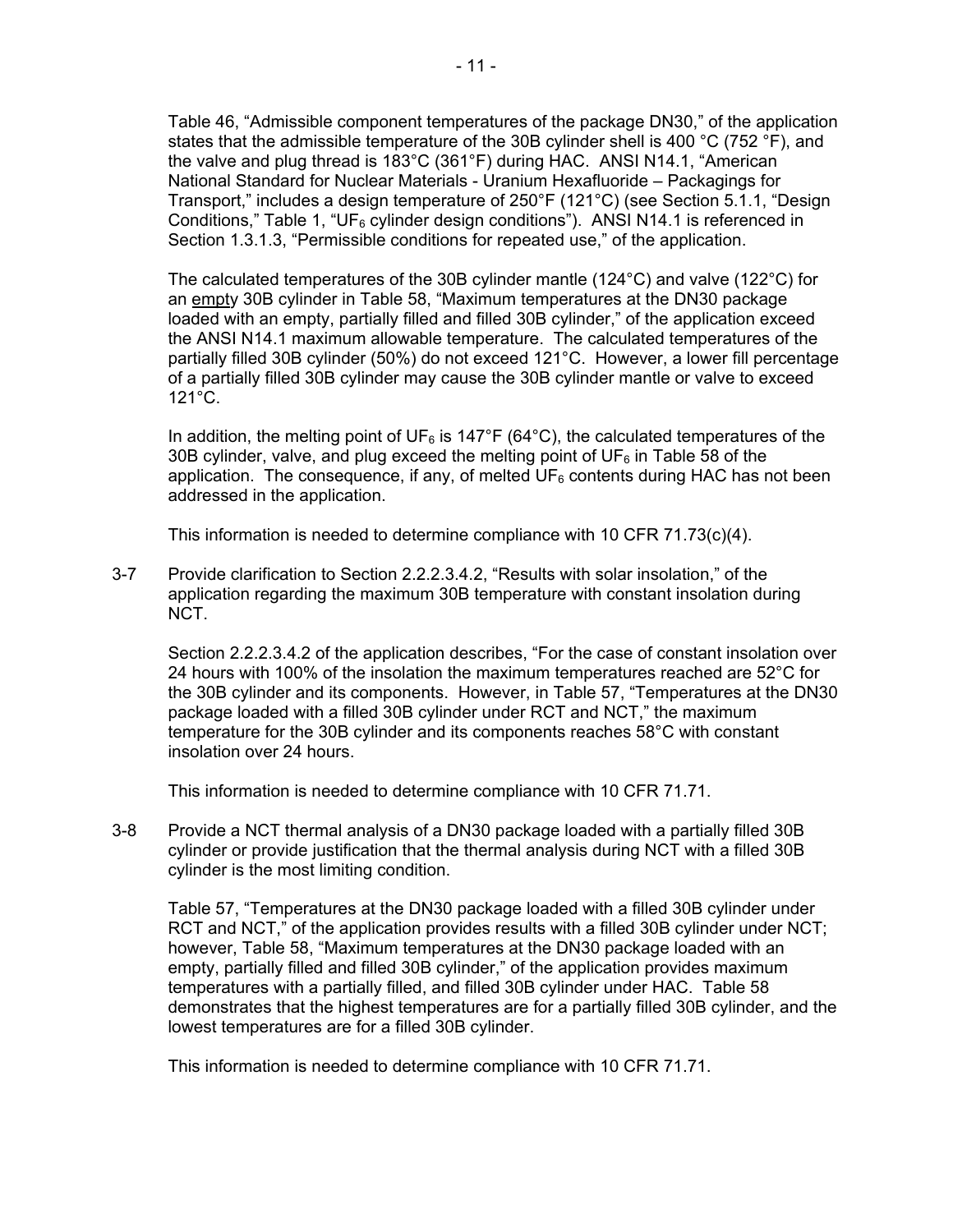Table 46, "Admissible component temperatures of the package DN30," of the application states that the admissible temperature of the 30B cylinder shell is 400 °C (752 °F), and the valve and plug thread is 183°C (361°F) during HAC. ANSI N14.1, "American National Standard for Nuclear Materials - Uranium Hexafluoride – Packagings for Transport," includes a design temperature of 250°F (121°C) (see Section 5.1.1, "Design Conditions," Table 1, "UF<sub>6</sub> cylinder design conditions"). ANSI N14.1 is referenced in Section 1.3.1.3, "Permissible conditions for repeated use," of the application.

The calculated temperatures of the 30B cylinder mantle (124°C) and valve (122°C) for an empty 30B cylinder in Table 58, "Maximum temperatures at the DN30 package loaded with an empty, partially filled and filled 30B cylinder," of the application exceed the ANSI N14.1 maximum allowable temperature. The calculated temperatures of the partially filled 30B cylinder (50%) do not exceed 121°C. However, a lower fill percentage of a partially filled 30B cylinder may cause the 30B cylinder mantle or valve to exceed 121°C.

In addition, the melting point of UF<sub>6</sub> is 147°F (64°C), the calculated temperatures of the 30B cylinder, valve, and plug exceed the melting point of UF $_6$  in Table 58 of the application. The consequence, if any, of melted  $UF<sub>6</sub>$  contents during HAC has not been addressed in the application.

This information is needed to determine compliance with 10 CFR 71.73(c)(4).

3-7 Provide clarification to Section 2.2.2.3.4.2, "Results with solar insolation," of the application regarding the maximum 30B temperature with constant insolation during NCT.

Section 2.2.2.3.4.2 of the application describes, "For the case of constant insolation over 24 hours with 100% of the insolation the maximum temperatures reached are 52°C for the 30B cylinder and its components. However, in Table 57, "Temperatures at the DN30 package loaded with a filled 30B cylinder under RCT and NCT," the maximum temperature for the 30B cylinder and its components reaches 58°C with constant insolation over 24 hours.

This information is needed to determine compliance with 10 CFR 71.71.

3-8 Provide a NCT thermal analysis of a DN30 package loaded with a partially filled 30B cylinder or provide justification that the thermal analysis during NCT with a filled 30B cylinder is the most limiting condition.

Table 57, "Temperatures at the DN30 package loaded with a filled 30B cylinder under RCT and NCT," of the application provides results with a filled 30B cylinder under NCT; however, Table 58, "Maximum temperatures at the DN30 package loaded with an empty, partially filled and filled 30B cylinder," of the application provides maximum temperatures with a partially filled, and filled 30B cylinder under HAC. Table 58 demonstrates that the highest temperatures are for a partially filled 30B cylinder, and the lowest temperatures are for a filled 30B cylinder.

This information is needed to determine compliance with 10 CFR 71.71.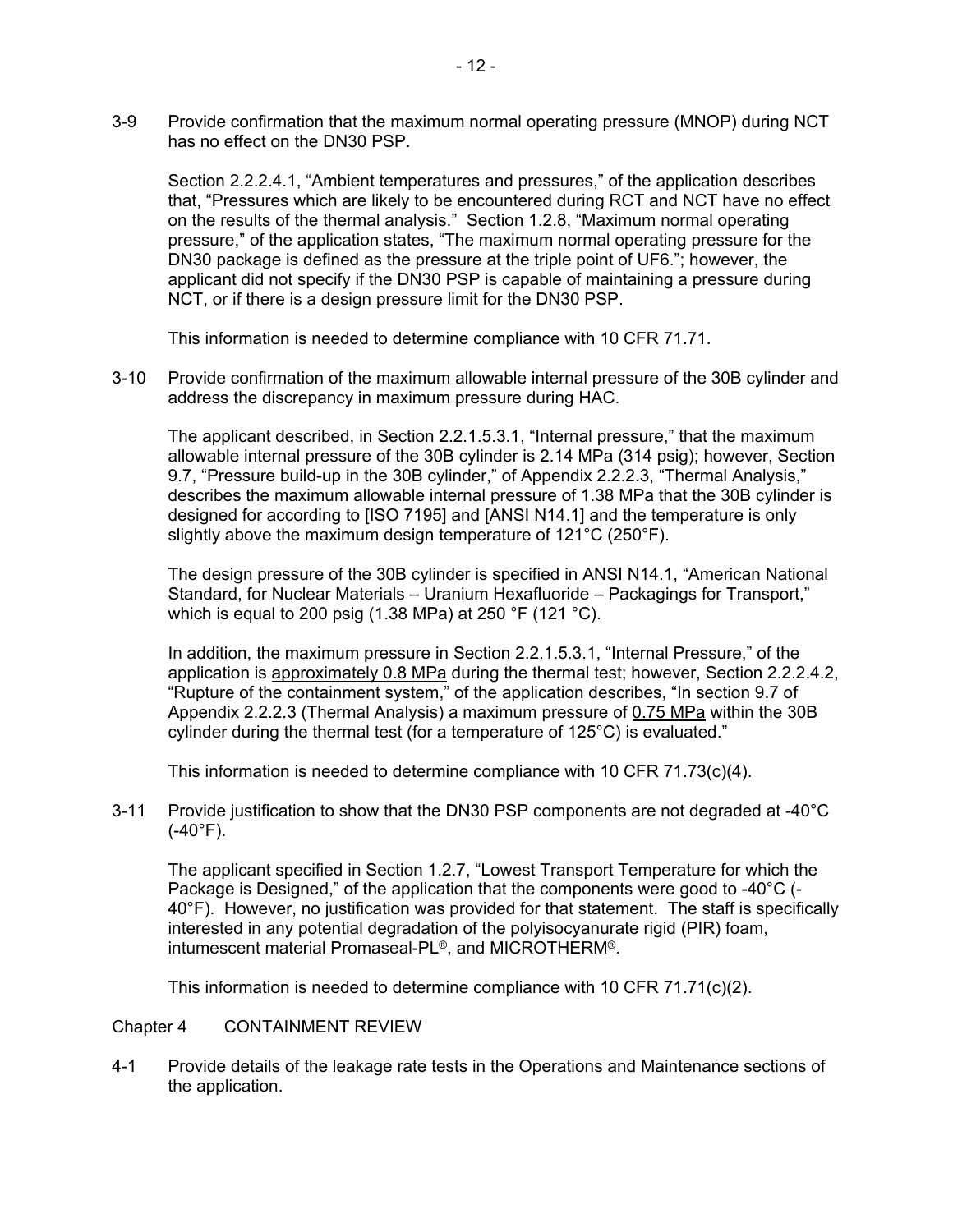3-9 Provide confirmation that the maximum normal operating pressure (MNOP) during NCT has no effect on the DN30 PSP.

Section 2.2.2.4.1, "Ambient temperatures and pressures," of the application describes that, "Pressures which are likely to be encountered during RCT and NCT have no effect on the results of the thermal analysis." Section 1.2.8, "Maximum normal operating pressure," of the application states, "The maximum normal operating pressure for the DN30 package is defined as the pressure at the triple point of UF6."; however, the applicant did not specify if the DN30 PSP is capable of maintaining a pressure during NCT, or if there is a design pressure limit for the DN30 PSP.

This information is needed to determine compliance with 10 CFR 71.71.

3-10 Provide confirmation of the maximum allowable internal pressure of the 30B cylinder and address the discrepancy in maximum pressure during HAC.

The applicant described, in Section 2.2.1.5.3.1, "Internal pressure," that the maximum allowable internal pressure of the 30B cylinder is 2.14 MPa (314 psig); however, Section 9.7, "Pressure build-up in the 30B cylinder," of Appendix 2.2.2.3, "Thermal Analysis," describes the maximum allowable internal pressure of 1.38 MPa that the 30B cylinder is designed for according to [ISO 7195] and [ANSI N14.1] and the temperature is only slightly above the maximum design temperature of 121°C (250°F).

The design pressure of the 30B cylinder is specified in ANSI N14.1, "American National Standard, for Nuclear Materials – Uranium Hexafluoride – Packagings for Transport," which is equal to 200 psig (1.38 MPa) at 250 °F (121 °C).

In addition, the maximum pressure in Section 2.2.1.5.3.1, "Internal Pressure," of the application is approximately 0.8 MPa during the thermal test; however, Section 2.2.2.4.2, "Rupture of the containment system," of the application describes, "In section 9.7 of Appendix 2.2.2.3 (Thermal Analysis) a maximum pressure of 0.75 MPa within the 30B cylinder during the thermal test (for a temperature of 125°C) is evaluated."

This information is needed to determine compliance with 10 CFR 71.73(c)(4).

3-11 Provide justification to show that the DN30 PSP components are not degraded at -40°C  $(-40^{\circ}F)$ .

The applicant specified in Section 1.2.7, "Lowest Transport Temperature for which the Package is Designed," of the application that the components were good to -40°C (- 40°F). However, no justification was provided for that statement. The staff is specifically interested in any potential degradation of the polyisocyanurate rigid (PIR) foam, intumescent material Promaseal-PL®, and MICROTHERM®.

This information is needed to determine compliance with 10 CFR 71.71(c)(2).

### Chapter 4 CONTAINMENT REVIEW

4-1 Provide details of the leakage rate tests in the Operations and Maintenance sections of the application.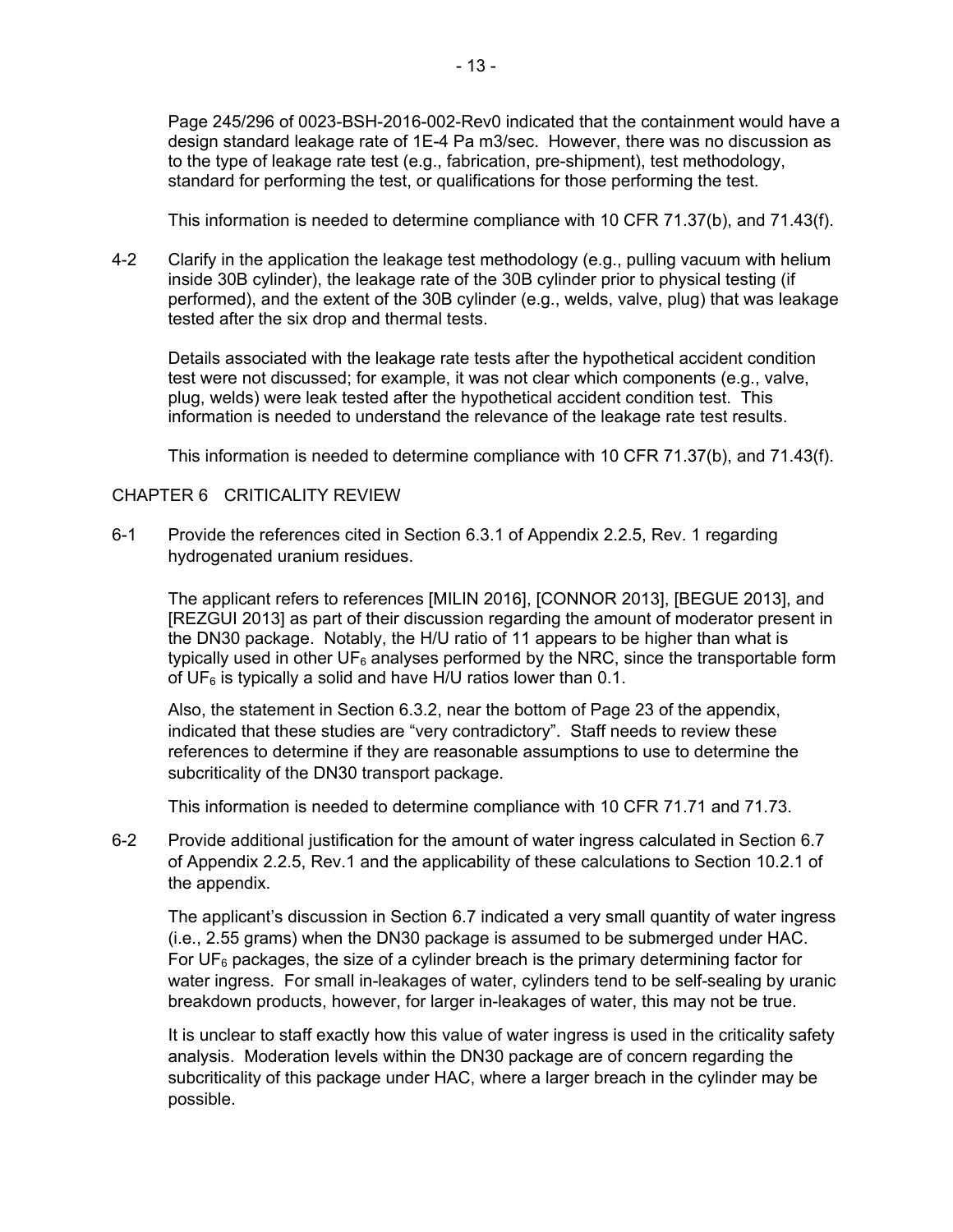Page 245/296 of 0023-BSH-2016-002-Rev0 indicated that the containment would have a design standard leakage rate of 1E-4 Pa m3/sec. However, there was no discussion as to the type of leakage rate test (e.g., fabrication, pre-shipment), test methodology, standard for performing the test, or qualifications for those performing the test.

This information is needed to determine compliance with 10 CFR 71.37(b), and 71.43(f).

4-2 Clarify in the application the leakage test methodology (e.g., pulling vacuum with helium inside 30B cylinder), the leakage rate of the 30B cylinder prior to physical testing (if performed), and the extent of the 30B cylinder (e.g., welds, valve, plug) that was leakage tested after the six drop and thermal tests.

Details associated with the leakage rate tests after the hypothetical accident condition test were not discussed; for example, it was not clear which components (e.g., valve, plug, welds) were leak tested after the hypothetical accident condition test. This information is needed to understand the relevance of the leakage rate test results.

This information is needed to determine compliance with 10 CFR 71.37(b), and 71.43(f).

# CHAPTER 6 CRITICALITY REVIEW

6-1 Provide the references cited in Section 6.3.1 of Appendix 2.2.5, Rev. 1 regarding hydrogenated uranium residues.

The applicant refers to references [MILIN 2016], [CONNOR 2013], [BEGUE 2013], and [REZGUI 2013] as part of their discussion regarding the amount of moderator present in the DN30 package. Notably, the H/U ratio of 11 appears to be higher than what is typically used in other  $UF_6$  analyses performed by the NRC, since the transportable form of UF $_6$  is typically a solid and have H/U ratios lower than 0.1.

Also, the statement in Section 6.3.2, near the bottom of Page 23 of the appendix, indicated that these studies are "very contradictory". Staff needs to review these references to determine if they are reasonable assumptions to use to determine the subcriticality of the DN30 transport package.

This information is needed to determine compliance with 10 CFR 71.71 and 71.73.

6-2 Provide additional justification for the amount of water ingress calculated in Section 6.7 of Appendix 2.2.5, Rev.1 and the applicability of these calculations to Section 10.2.1 of the appendix.

The applicant's discussion in Section 6.7 indicated a very small quantity of water ingress (i.e., 2.55 grams) when the DN30 package is assumed to be submerged under HAC. For  $UF<sub>6</sub>$  packages, the size of a cylinder breach is the primary determining factor for water ingress. For small in-leakages of water, cylinders tend to be self-sealing by uranic breakdown products, however, for larger in-leakages of water, this may not be true.

It is unclear to staff exactly how this value of water ingress is used in the criticality safety analysis. Moderation levels within the DN30 package are of concern regarding the subcriticality of this package under HAC, where a larger breach in the cylinder may be possible.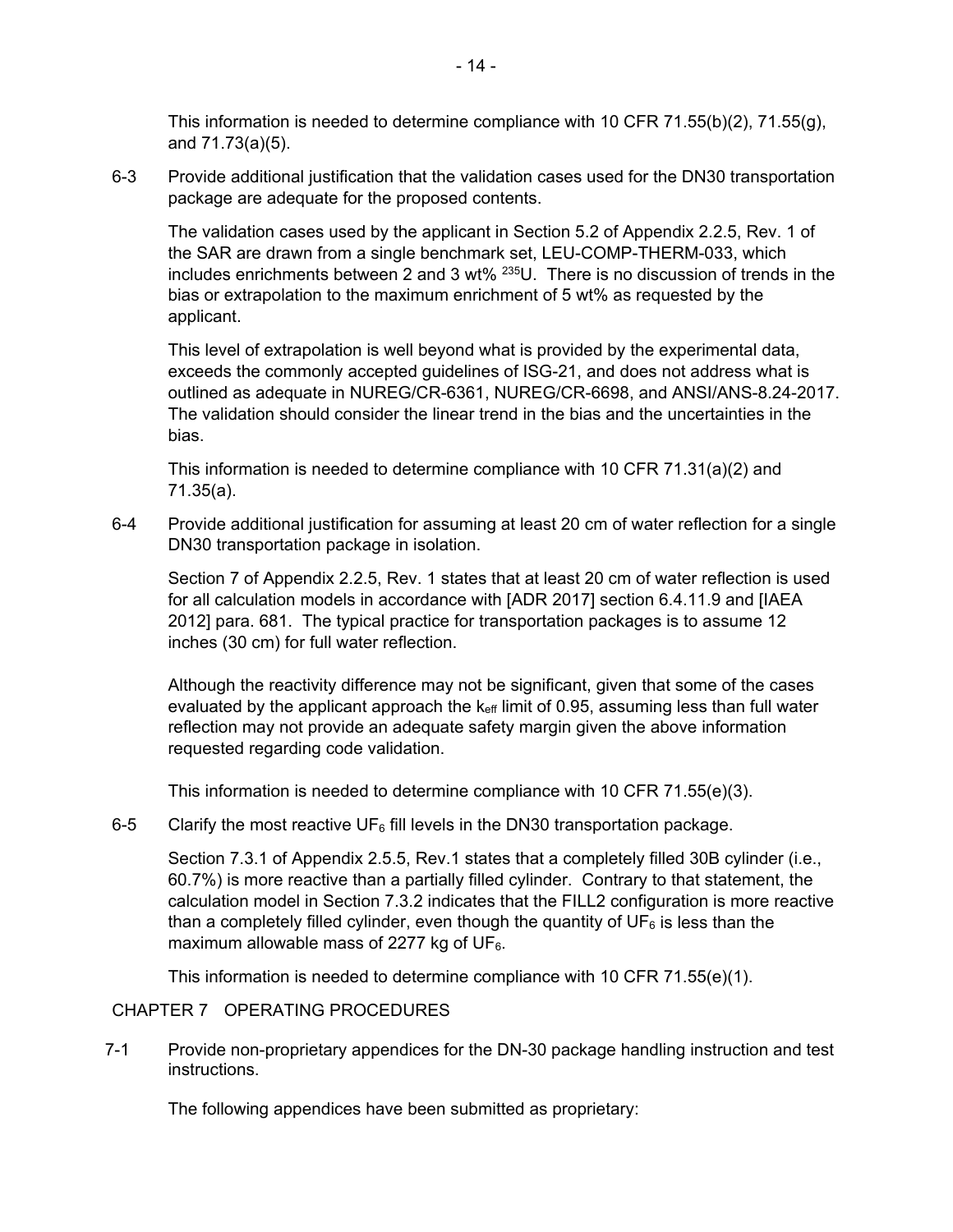This information is needed to determine compliance with 10 CFR 71.55(b)(2), 71.55(g), and 71.73(a)(5).

6-3 Provide additional justification that the validation cases used for the DN30 transportation package are adequate for the proposed contents.

The validation cases used by the applicant in Section 5.2 of Appendix 2.2.5, Rev. 1 of the SAR are drawn from a single benchmark set, LEU-COMP-THERM-033, which includes enrichments between 2 and 3 wt% 235U. There is no discussion of trends in the bias or extrapolation to the maximum enrichment of 5 wt% as requested by the applicant.

This level of extrapolation is well beyond what is provided by the experimental data, exceeds the commonly accepted guidelines of ISG-21, and does not address what is outlined as adequate in NUREG/CR-6361, NUREG/CR-6698, and ANSI/ANS-8.24-2017. The validation should consider the linear trend in the bias and the uncertainties in the bias.

This information is needed to determine compliance with 10 CFR 71.31(a)(2) and 71.35(a).

6-4 Provide additional justification for assuming at least 20 cm of water reflection for a single DN30 transportation package in isolation.

Section 7 of Appendix 2.2.5, Rev. 1 states that at least 20 cm of water reflection is used for all calculation models in accordance with [ADR 2017] section 6.4.11.9 and [IAEA 2012] para. 681. The typical practice for transportation packages is to assume 12 inches (30 cm) for full water reflection.

Although the reactivity difference may not be significant, given that some of the cases evaluated by the applicant approach the  $k<sub>eff</sub>$  limit of 0.95, assuming less than full water reflection may not provide an adequate safety margin given the above information requested regarding code validation.

This information is needed to determine compliance with 10 CFR 71.55(e)(3).

6-5 Clarify the most reactive UF $_6$  fill levels in the DN30 transportation package.

Section 7.3.1 of Appendix 2.5.5, Rev.1 states that a completely filled 30B cylinder (i.e., 60.7%) is more reactive than a partially filled cylinder. Contrary to that statement, the calculation model in Section 7.3.2 indicates that the FILL2 configuration is more reactive than a completely filled cylinder, even though the quantity of  $UF<sub>6</sub>$  is less than the maximum allowable mass of 2277 kg of  $UF_6$ .

This information is needed to determine compliance with 10 CFR 71.55(e)(1).

### CHAPTER 7 OPERATING PROCEDURES

7-1 Provide non-proprietary appendices for the DN-30 package handling instruction and test instructions.

The following appendices have been submitted as proprietary: